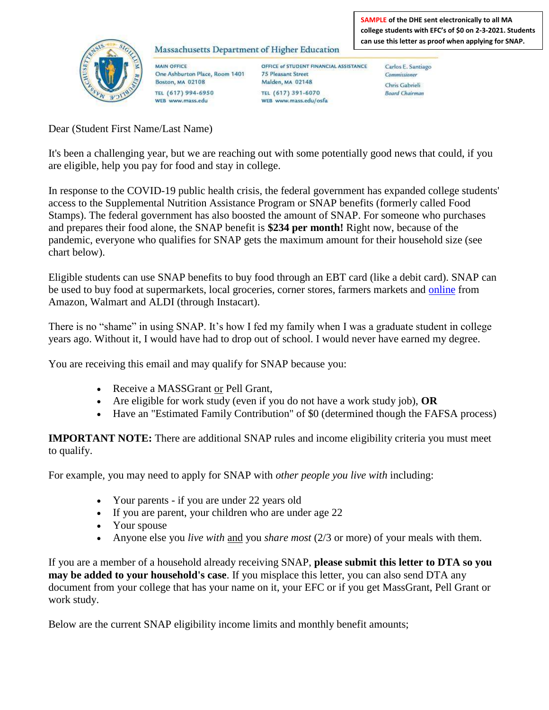## Massachusetts Department of Higher Education

**MAIN OFFICE** One Ashburton Place, Room 1401 **Boston, MA 02108** TEL (617) 994-6950 WEB www.mass.edu

**SAMPLE of the DHE sent electronically to all MA college students with EFC's of \$0 on 2-3-2021. Students can use this letter as proof when applying for SNAP.** 

OFFICE of STUDENT FINANCIAL ASSISTANCE **75 Pleasant Street** Malden, MA 02148 TEL (617) 391-6070 WEB www.mass.edu/osfa

Carlos E. Santiago Commissioner Chris Gabrieli **Board Chairman** 

Dear (Student First Name/Last Name)

It's been a challenging year, but we are reaching out with some potentially good news that could, if you are eligible, help you pay for food and stay in college.

In response to the COVID-19 public health crisis, the federal government has expanded college students' access to the Supplemental Nutrition Assistance Program or SNAP benefits (formerly called Food Stamps). The federal government has also boosted the amount of SNAP. For someone who purchases and prepares their food alone, the SNAP benefit is **\$234 per month!** Right now, because of the pandemic, everyone who qualifies for SNAP gets the maximum amount for their household size (see chart below).

Eligible students can use SNAP benefits to buy food through an EBT card (like a debit card). SNAP can be used to buy food at supermarkets, local groceries, corner stores, farmers markets and [online](https://www.mass.gov/snap-online-purchasing-program) from Amazon, Walmart and ALDI (through Instacart).

There is no "shame" in using SNAP. It's how I fed my family when I was a graduate student in college years ago. Without it, I would have had to drop out of school. I would never have earned my degree.

You are receiving this email and may qualify for SNAP because you:

- Receive a MASSGrant or Pell Grant,
- Are eligible for work study (even if you do not have a work study job), **OR**
- Have an "Estimated Family Contribution" of \$0 (determined though the FAFSA process)

**IMPORTANT NOTE:** There are additional SNAP rules and income eligibility criteria you must meet to qualify.

For example, you may need to apply for SNAP with *other people you live with* including:

- Your parents if you are under 22 years old
- If you are parent, your children who are under age 22
- Your spouse
- Anyone else you *live with* and you *share most* (2/3 or more) of your meals with them.

If you are a member of a household already receiving SNAP, **please submit this letter to DTA so you may be added to your household's case**. If you misplace this letter, you can also send DTA any document from your college that has your name on it, your EFC or if you get MassGrant, Pell Grant or work study.

Below are the current SNAP eligibility income limits and monthly benefit amounts;